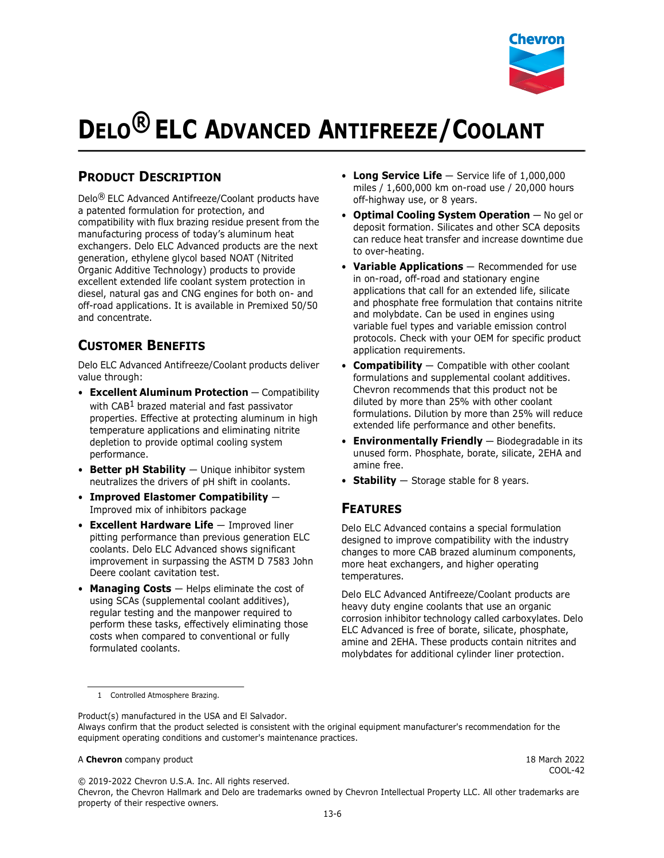

# **DELO® ELC ADVANCED ANTIFREEZE/COOLANT**

# **PRODUCT DESCRIPTION**

Delo® ELC Advanced Antifreeze/Coolant products have a patented formulation for protection, and compatibility with flux brazing residue present from the manufacturing process of today's aluminum heat exchangers. Delo ELC Advanced products are the next generation, ethylene glycol based NOAT (Nitrited Organic Additive Technology) products to provide excellent extended life coolant system protection in diesel, natural gas and CNG engines for both on- and off-road applications. It is available in Premixed 50/50 and concentrate.

## **CUSTOMER BENEFITS**

Delo ELC Advanced Antifreeze/Coolant products deliver value through:

- **Excellent Aluminum Protection** Compatibility with CAB<sup>1</sup> brazed material and fast passivator properties. Effective at protecting aluminum in high temperature applications and eliminating nitrite depletion to provide optimal cooling system performance.
- **Better pH Stability** Unique inhibitor system neutralizes the drivers of pH shift in coolants.
- **Improved Elastomer Compatibility** Improved mix of inhibitors package
- **Excellent Hardware Life** Improved liner pitting performance than previous generation ELC coolants. Delo ELC Advanced shows significant improvement in surpassing the ASTM D 7583 John Deere coolant cavitation test.
- **Managing Costs** Helps eliminate the cost of using SCAs (supplemental coolant additives), regular testing and the manpower required to perform these tasks, effectively eliminating those costs when compared to conventional or fully formulated coolants.
- **Long Service Life** Service life of 1,000,000 miles / 1,600,000 km on-road use / 20,000 hours off-highway use, or 8 years.
- **Optimal Cooling System Operation** No gel or deposit formation. Silicates and other SCA deposits can reduce heat transfer and increase downtime due to over-heating.
- **Variable Applications** Recommended for use in on-road, off-road and stationary engine applications that call for an extended life, silicate and phosphate free formulation that contains nitrite and molybdate. Can be used in engines using variable fuel types and variable emission control protocols. Check with your OEM for specific product application requirements.
- **Compatibility** Compatible with other coolant formulations and supplemental coolant additives. Chevron recommends that this product not be diluted by more than 25% with other coolant formulations. Dilution by more than 25% will reduce extended life performance and other benefits.
- **Environmentally Friendly** Biodegradable in its unused form. Phosphate, borate, silicate, 2EHA and amine free.
- **Stability** Storage stable for 8 years.

## **FEATURES**

Delo ELC Advanced contains a special formulation designed to improve compatibility with the industry changes to more CAB brazed aluminum components, more heat exchangers, and higher operating temperatures.

Delo ELC Advanced Antifreeze/Coolant products are heavy duty engine coolants that use an organic corrosion inhibitor technology called carboxylates. Delo ELC Advanced is free of borate, silicate, phosphate, amine and 2EHA. These products contain nitrites and molybdates for additional cylinder liner protection.

Product(s) manufactured in the USA and El Salvador.

#### A **Chevron** company product 18 March 2022

COOL-42

© 2019-2022 Chevron U.S.A. Inc. All rights reserved.

Chevron, the Chevron Hallmark and Delo are trademarks owned by Chevron Intellectual Property LLC. All other trademarks are property of their respective owners.

<sup>1</sup> Controlled Atmosphere Brazing.

Always confirm that the product selected is consistent with the original equipment manufacturer's recommendation for the equipment operating conditions and customer's maintenance practices.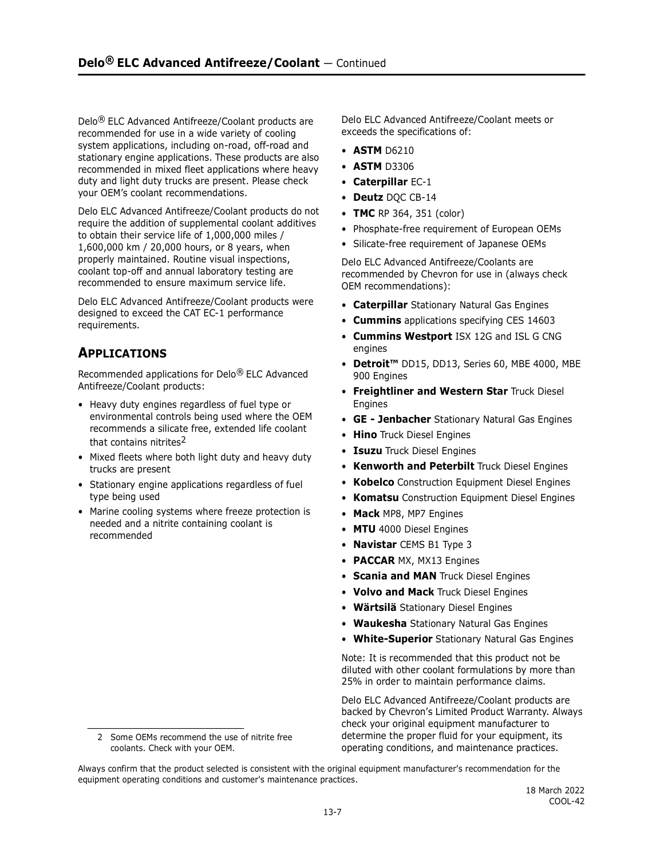Delo® ELC Advanced Antifreeze/Coolant products are recommended for use in a wide variety of cooling system applications, including on-road, off-road and stationary engine applications. These products are also recommended in mixed fleet applications where heavy duty and light duty trucks are present. Please check your OEM's coolant recommendations.

Delo ELC Advanced Antifreeze/Coolant products do not require the addition of supplemental coolant additives to obtain their service life of 1,000,000 miles / 1,600,000 km / 20,000 hours, or 8 years, when properly maintained. Routine visual inspections, coolant top-off and annual laboratory testing are recommended to ensure maximum service life.

Delo ELC Advanced Antifreeze/Coolant products were designed to exceed the CAT EC-1 performance requirements.

# **APPLICATIONS**

Recommended applications for Delo® ELC Advanced Antifreeze/Coolant products:

- Heavy duty engines regardless of fuel type or environmental controls being used where the OEM recommends a silicate free, extended life coolant that contains nitrites<sup>2</sup>
- Mixed fleets where both light duty and heavy duty trucks are present
- Stationary engine applications regardless of fuel type being used
- Marine cooling systems where freeze protection is needed and a nitrite containing coolant is recommended

Delo ELC Advanced Antifreeze/Coolant meets or exceeds the specifications of:

- **ASTM** D6210
- **ASTM** D3306
- **Caterpillar** EC-1
- **Deutz** DQC CB-14
- **TMC** RP 364, 351 (color)
- Phosphate-free requirement of European OEMs
- Silicate-free requirement of Japanese OEMs

Delo ELC Advanced Antifreeze/Coolants are recommended by Chevron for use in (always check OEM recommendations):

- **Caterpillar** Stationary Natural Gas Engines
- **Cummins** applications specifying CES 14603
- **Cummins Westport** ISX 12G and ISL G CNG engines
- **Detroit™** DD15, DD13, Series 60, MBE 4000, MBE 900 Engines
- **Freightliner and Western Star** Truck Diesel **Engines**
- **GE Jenbacher** Stationary Natural Gas Engines
- **Hino** Truck Diesel Engines
- **Isuzu** Truck Diesel Engines
- **Kenworth and Peterbilt** Truck Diesel Engines
- **Kobelco** Construction Equipment Diesel Engines
- **Komatsu** Construction Equipment Diesel Engines
- **Mack** MP8, MP7 Engines
- **MTU** 4000 Diesel Engines
- **Navistar** CEMS B1 Type 3
- **PACCAR** MX, MX13 Engines
- **Scania and MAN** Truck Diesel Engines
- **Volvo and Mack** Truck Diesel Engines
- **Wärtsilä** Stationary Diesel Engines
- **Waukesha** Stationary Natural Gas Engines
- **White-Superior** Stationary Natural Gas Engines

Note: It is recommended that this product not be diluted with other coolant formulations by more than 25% in order to maintain performance claims.

Delo ELC Advanced Antifreeze/Coolant products are backed by Chevron's Limited Product Warranty. Always check your original equipment manufacturer to determine the proper fluid for your equipment, its operating conditions, and maintenance practices.

Always confirm that the product selected is consistent with the original equipment manufacturer's recommendation for the equipment operating conditions and customer's maintenance practices.

<sup>2</sup> Some OEMs recommend the use of nitrite free coolants. Check with your OEM.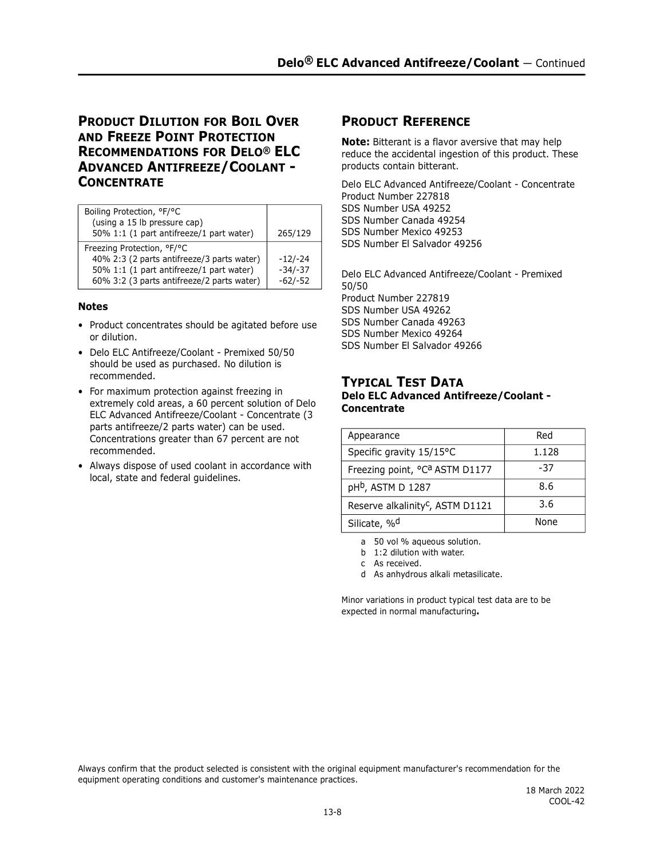## **PRODUCT DILUTION FOR BOIL OVER AND FREEZE POINT PROTECTION RECOMMENDATIONS FOR DELO® ELC ADVANCED ANTIFREEZE/COOLANT - CONCENTRATE**

| Boiling Protection, °F/°C<br>(using a 15 lb pressure cap)<br>50% 1:1 (1 part antifreeze/1 part water)                                                              | 265/129                             |
|--------------------------------------------------------------------------------------------------------------------------------------------------------------------|-------------------------------------|
| Freezing Protection, °F/°C<br>40% 2:3 (2 parts antifreeze/3 parts water)<br>50% 1:1 (1 part antifreeze/1 part water)<br>60% 3:2 (3 parts antifreeze/2 parts water) | $-12/-24$<br>$-34/-37$<br>$-62/-52$ |

#### **Notes**

- Product concentrates should be agitated before use or dilution.
- Delo ELC Antifreeze/Coolant Premixed 50/50 should be used as purchased. No dilution is recommended.
- For maximum protection against freezing in extremely cold areas, a 60 percent solution of Delo ELC Advanced Antifreeze/Coolant - Concentrate (3 parts antifreeze/2 parts water) can be used. Concentrations greater than 67 percent are not recommended.
- Always dispose of used coolant in accordance with local, state and federal guidelines.

## **PRODUCT REFERENCE**

**Note:** Bitterant is a flavor aversive that may help reduce the accidental ingestion of this product. These products contain bitterant.

Delo ELC Advanced Antifreeze/Coolant - Concentrate Product Number 227818 SDS Number USA 49252 SDS Number Canada 49254 SDS Number Mexico 49253 SDS Number El Salvador 49256

Delo ELC Advanced Antifreeze/Coolant - Premixed 50/50 Product Number 227819 SDS Number USA 49262 SDS Number Canada 49263 SDS Number Mexico 49264 SDS Number El Salvador 49266

## **TYPICAL TEST DATA**

## **Delo ELC Advanced Antifreeze/Coolant - Concentrate**

| Appearance                                             | Red   |
|--------------------------------------------------------|-------|
| Specific gravity 15/15°C                               | 1.128 |
| Freezing point, <sup>o</sup> C <sup>a</sup> ASTM D1177 | -37   |
| pH <sup>b</sup> , ASTM D 1287                          | 8.6   |
| Reserve alkalinity <sup>c</sup> , ASTM D1121           | 3.6   |
| Silicate, % <sup>d</sup>                               | None  |

a 50 vol % aqueous solution.

b 1:2 dilution with water.

c As received.

d As anhydrous alkali metasilicate.

Minor variations in product typical test data are to be expected in normal manufacturing**.**

Always confirm that the product selected is consistent with the original equipment manufacturer's recommendation for the equipment operating conditions and customer's maintenance practices.